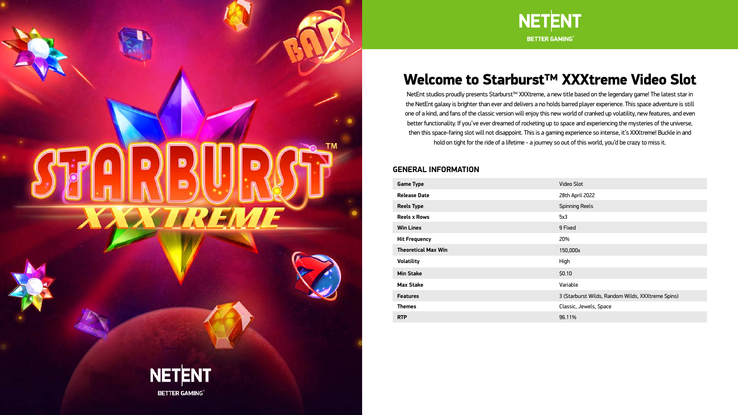# <span id="page-0-0"></span>D **ASSERVEN**





# Welcome to Starburst™ XXXtreme Video Slot

NetEnt studios proudly presents Starburst™ XXXtreme, a new title based on the legendary game! The latest star in the NetEnt galaxy is brighter than ever and delivers a no holds barred player experience. This space adventure is still one of a kind, and fans of the classic version will enjoy this new world of cranked up volatility, new features, and even better functionality. If you've ever dreamed of rocketing up to space and experiencing the mysteries of the universe, then this space-faring slot will not disappoint. This is a gaming experience so intense, it's XXXtreme! Buckle in and hold on tight for the ride of a lifetime - a journey so out of this world, you'd be crazy to miss it.

#### **GENERAL INFORMATION**

| <b>Game Type</b>           | <b>Video Slot</b>                                 |
|----------------------------|---------------------------------------------------|
| <b>Release Date</b>        | 28th April 2022                                   |
| <b>Reels Type</b>          | <b>Spinning Reels</b>                             |
| <b>Reels x Rows</b>        | 5x3                                               |
| <b>Win Lines</b>           | 9 Fixed                                           |
| <b>Hit Frequency</b>       | 20%                                               |
| <b>Theoretical Max Win</b> | 150,000x                                          |
| <b>Volatility</b>          | High                                              |
| <b>Min Stake</b>           | \$0.10                                            |
| <b>Max Stake</b>           | Variable                                          |
| <b>Features</b>            | 3 (Starburst Wilds, Random Wilds, XXXtreme Spins) |
| <b>Themes</b>              | Classic, Jewels, Space                            |
| <b>RTP</b>                 | 96.11%                                            |

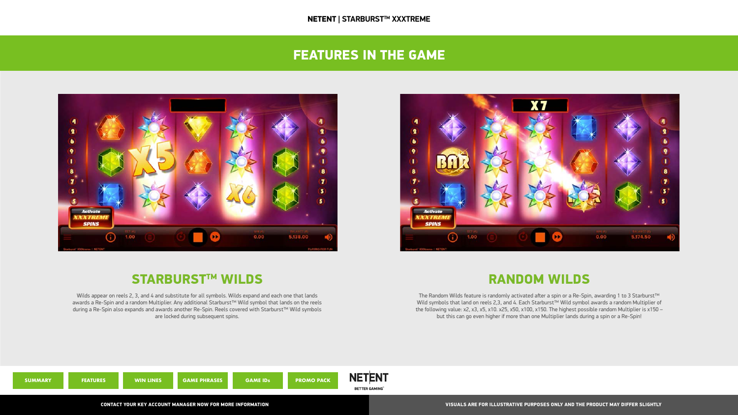The Random Wilds feature is randomly activated after a spin or a Re-Spin, awarding 1 to 3 Starburst™ Wild symbols that land on reels 2,3, and 4. Each Starburst™ Wild symbol awards a random Multiplier of the following value: x2, x3, x5, x10. x25, x50, x100, x150. The highest possible random Multiplier is x150 – but this can go even higher if more than one Multiplier lands during a spin or a Re-Spin!



Wilds appear on reels 2, 3, and 4 and substitute for all symbols. Wilds expand and each one that lands awards a Re-Spin and a random Multiplier. Any additional Starburst™ Wild symbol that lands on the reels during a Re-Spin also expands and awards another Re-Spin. Reels covered with Starburst™ Wild symbols are locked during subsequent spins.

#### FEATURES IN THE GAME

<span id="page-1-0"></span>

#### STARBURST™ WILDS NAME OF THE RANDOM WILDS



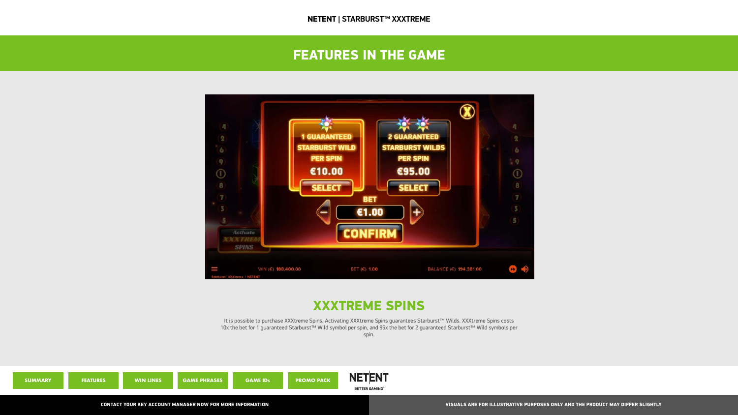## FEATURES IN THE GAME



# XXXTREME SPINS





It is possible to purchase XXXtreme Spins. Activating XXXtreme Spins guarantees Starburst™ Wilds. XXXtreme Spins costs 10x the bet for 1 guaranteed Starburst™ Wild symbol per spin, and 95x the bet for 2 guaranteed Starburst™ Wild symbols per spin.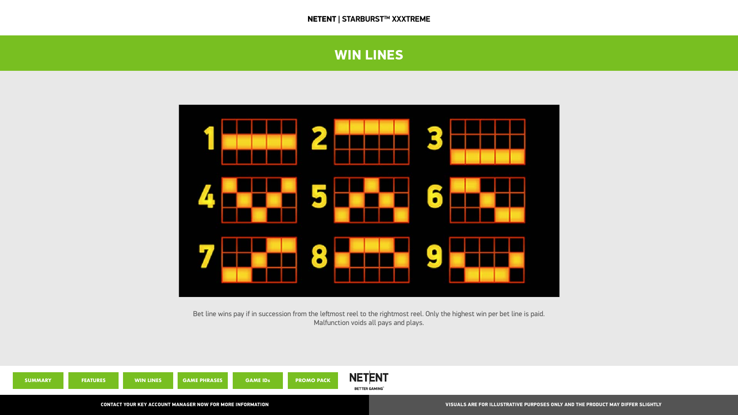## WIN LINES







<span id="page-3-0"></span>

Bet line wins pay if in succession from the leftmost reel to the rightmost reel. Only the highest win per bet line is paid. Malfunction voids all pays and plays.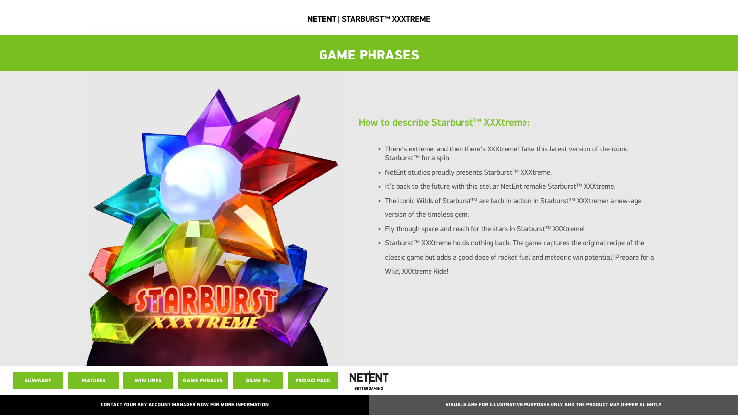### GAME PHRASES

#### How to describe Starburst™ XXXtreme:

- There's extreme, and then there's XXXtreme! Take this latest version of the iconic Starburst<sup>™</sup> for a spin.
- NetEnt studios proudly presents Starburst™ XXXtreme.
- It's back to the future with this stellar NetEnt remake Starburst™ XXXtreme.
- The iconic Wilds of Starburst™ are back in action in Starburst™ XXXtreme: a new-age version of the timeless gem.
- Fly through space and reach for the stars in Starburst™ XXXtreme!
- Starburst™ XXXtreme holds nothing back. The game captures the original recipe of the classic game but adds a good dose of rocket fuel and meteoric win potential! Prepare for a Wild, XXXtreme Ride!





<span id="page-4-0"></span>

**[SUMMARY](#page-0-0) [FEATURES](#page-1-0) [WIN LINES](#page-3-0) GAME PHRASES [GAME IDs](#page-5-0) [PROMO PACK](#page-6-0)**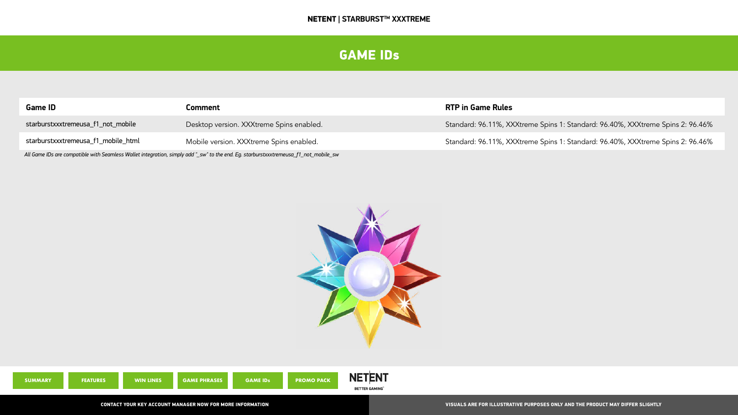### GAME IDs

#### **RTP in Game Rules**

Standard: 96.11%, XXXtreme Spins 1: Standard: 96.40%, XXXtreme Spins 2: 96.46%

Standard: 96.11%, XXXtreme Spins 1: Standard: 96.40%, XXXtreme Spins 2: 96.46%





| <b>SUMMARY</b> | <b>FEATURES</b> | <b>WIN LINES</b> | <b>GAME PHRASES</b> | <b>GAME IDs</b> | <b>PROMO PACK</b> |
|----------------|-----------------|------------------|---------------------|-----------------|-------------------|
|                |                 |                  |                     |                 |                   |



<span id="page-5-0"></span>

| <b>Game ID</b>                      | <b>Comment</b>                           |
|-------------------------------------|------------------------------------------|
| starburstxxxtremeusa_f1_not_mobile  | Desktop version. XXXtreme Spins enabled. |
| starburstxxxtremeusa_f1_mobile_html | Mobile version. XXXtreme Spins enabled.  |

*All Game IDs are compatible with Seamless Wallet integration, simply add "\_sw" to the end. Eg. starburstxxxtremeusa\_f1\_not\_mobile\_sw*